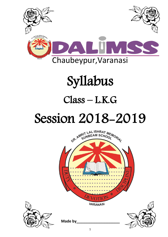

# Syllabus

## Class – L.K.G

## Session 2018-2019

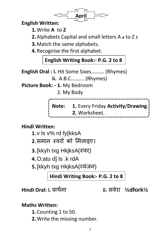

## **English Written:**

- **1.**Write **A** to **Z**
- **2.**Alphabets Capital and small letters A *a* to Z z
- **3.**Match the same alphabets.
- **4.**Recognise the first alphabet.

**English Writing Book:- P.G. 2 to 8**

**English Oral : i.** Hit Some Sixes………. (Rhymes) **ii.** A.B.C………. (Rhymes) **Picture Book: - 1.** My Bedroom 2. My Body **Note: 1.** Every Friday **Activity**/**Drawing**. **2.** Worksheet.

## **Hindi Written:**

- **1.**v ls v% rd fy[kksA
- 2.समान स्वरों को मिलाइए।
- **3.**[kkyh txg HkjksA(स्वर)
- **4.**O;atu d] ls .k rdA
- **5.**[kkyh txg HkjksA(व्यंजन)

**Hindi Writing Book:- P.G. 2 to 8**

**Hindi Oral: i.** प्रार्थना **ii.** सवेरा **¼dfork½**

#### **Maths Written:**

- **1.**Counting 1 to 50.
- **2.**Write the missing number.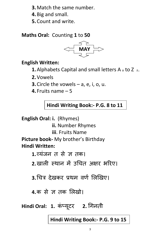**3.**Match the same number.

**4.**Big and small.

**5.**Count and write.

#### **Maths Oral:** Counting **1** to **50**



#### **English Written:**

**1.** Alphabets Capital and small letters A a to Z z.

**2.**Vowels

**3.**Circle the vowels – a, e, i, o, u.

**4.** Fruits name – 5

## **Hindi Writing Book:- P.G. 8 to 11**

**English Oral: i.** (Rhymes)

**ii.** Number Rhymes

**iii**. Fruits Name

**Picture book-** My brother's Birthday **Hindi Written:**

1. व्यंजन त से ज तक।

2.खाली स्थान में उचित अक्षर भरिए।

3.चित्र देखकर प्रथम वर्ण लिखिए।

**4.**क से ज तक लिखो।

**Hindi Oral: 1.** कंप्यटू र **2.** चगनती

**Hindi Writing Book:- P.G. 9 to 15**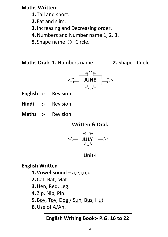## **Maths Written:**

- **1.** Tall and short.
- **2.** Fat and slim.
- **3.**Increasing and Decreasing order.
- **4.**Numbers and Number name 1, 2, 3**.**
- **5.** Shape name  $\bigcirc$  Circle.

**Maths Oral: 1.** Numbers name **2.** Shape - Circle



- **English :-** Revision
- **Hindi :-** Revision
- **Maths :-** Revision





**Unit-I**

## **English Written**

- **1.**Vowel Sound a,e,i,o,u.
- **2.**Cat, Bat, Mat.
- **3.**Hen, Red, Leg.
- **4.** Zip, Nib, Pin.
- **5.** Boy, Toy, Dog / Sun, Bus, Hut.
- **6.**Use of A/An.

## **English Writing Book:- P.G. 16 to 22**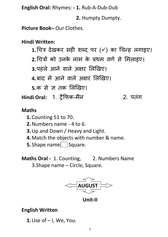**English Oral:** Rhymes: **- 1.** Rub-A-Dub-Dub

**2.** Humpty Dumpty.

**Picture Book–** Our Clothes.

#### **Hindi Written:**

1.चित्र देखकर सही शब्द पर (√) का चिन्ह लगाइए। 2.चित्रों को उनके नाम के प्रथम वर्ण से मिलाइए।

3.पहले आने वाले अक्षर लिखिए।

**4.बाद में आने वाले अक्षर लिखिए।** 

<u>5.क से ज़ तक लिखिए।</u>

**Hindi Oral:** 1. ट्रैफिक-मैन 2. पतंग

#### **Maths**

- **1.**Counting 51 to 70.
- **2.**Numbers name 4 to 6.
- **3.**Up and Down / Heavy and Light.
- **4.**Match the objects with number & name.
- **5.** Shape name Square.

**Maths Oral - 1. Counting, 2. Numbers Name** 3.Shape name – Circle, Square.



**Unit-II**

#### **English Written**

**1.**Use of – I, We, You.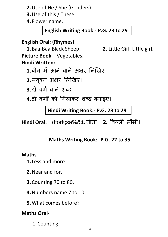**2.**Use of He / She (Genders).

**3.**Use of this / These.

**4.** Flower name.

**English Writing Book:- P.G. 23 to 29**

## **English Oral: (Rhymes)**

**1.**Baa-Baa Black Sheep **2.** Little Girl, Little girl. **Picture Book** – Vegetables. **Hindi Written:**

1.बीच में आने वाले अक्षर लिखिए।

- 2.संयुक्त अक्षर लिखिए।
- **3.**दो वर्थ वाऱे शब्द।
- **4.**दो वर्ों को ममऱाकर शब्द बनाइए।

**Hindi Writing Book:- P.G. 23 to 29**

**Hindi Oral:** dfork;sa%&**1.** तोता **2.** बबल्ऱी मौसी।

## **Maths Writing Book:- P.G. 22 to 35**

#### **Maths**

- **1.** Less and more.
- **2.**Near and for.
- **3.**Counting 70 to 80.
- **4.**Numbers name 7 to 10.
- **5.**What comes before?

## **Maths Oral-**

1. Counting.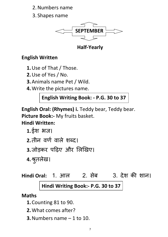- 2.Numbers name
- 3. Shapes name



**Half-Yearly**

## **English Written**

- **1.**Use of That / Those.
- **2.**Use of Yes / No.
- **3.**Animals name Pet / Wild.
- **4.**Write the pictures name.

## **English Writing Book: - P.G. 30 to 37**

**English Oral: (Rhymes) i.** Teddy bear, Teddy bear. **Picture Book:-** My fruits basket.

**Hindi Written:**

- **1.**ईश भज।
- **2.**तीन वर्थ वाऱे शब्द।
- **3.**जोड़कर पढ़िए और लिखिए।
- **4.**श्र ुतऱेख।

**Hindi Oral:** 1. आऱ 2. सेब 3. देश की शान।

## **Hindi Writing Book:- P.G. 30 to 37**

## **Maths**

- **1.**Counting 81 to 90.
- **2.**What comes after?
- **3.**Numbers name 1 to 10.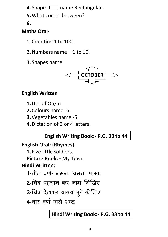- **4.** Shape **name Rectangular.**
- **5.**What comes between?
- **6.**

## **Maths Oral-**

- 1. Counting 1 to 100.
- 2.Numbers name 1 to 10.
- 3. Shapes name.



## **English Written**

- **1.**Use of On/In.
- **2.**Colours name -5.
- **3.**Vegetables name -5.
- **4.**Dictation of 3 or 4 letters.

## **English Writing Book:- P.G. 38 to 44**

## **English Oral: (Rhymes)**

**1.** Five little soldiers.

**Picture Book: -** My Town

## **Hindi Written:**

**1-**तीन वर्थ- नमन, िमन, पऱक

**2-**चित्र पहचान कर नाम लिखिए

**3-**चित्र देखकर वाक्य पुरे कीजिए

**4-**िार वर्थ वाऱे शब्द

## **Hindi Writing Book:- P.G. 38 to 44**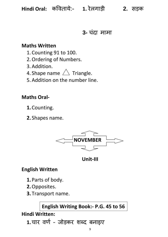## **3-** िंदा मामा

#### **Maths Written**

- 1. Counting 91 to 100.
- 2.Ordering of Numbers.
- 3.Addition.
- 4. Shape name  $\triangle$  Triangle.
- 5.Addition on the number line.

## **Maths Oral-**

- **1.**Counting.
- **2.** Shapes name.



**Unit-III**

## **English Written**

- **1.**Parts of body.
- **2.**Opposites.
- **3.** Transport name.

## **English Writing Book:- P.G. 45 to 56**

**Hindi Written:**

**1.**िार वर्थ – जोड़कर शब्द बनाइए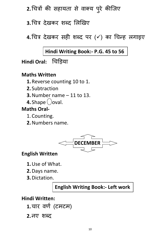**2.**चित्रों की सहायता से वाक्य परु े कीजजए

**3.**चित्र देखकर शब्द लिखिए

4.चित्र देखकर सही शब्द पर (v) का चिन्ह लगाइए

**Hindi Writing Book:- P.G. 45 to 56**

**Hindi Oral:** चिड़ड़या

#### **Maths Written**

- **1.**Reverse counting 10 to 1.
- **2.** Subtraction
- **3.**Number name 11 to 13.
- **4.** Shape (*oval.*

## **Maths Oral-**

- 1. Counting.
- **2.**Numbers name.



## **English Written**

- **1.**Use of What.
- **2.**Days name.
- **3.**Dictation.

**English Writing Book:- Left work**

#### **Hindi Written:**

- **1.**िार वर्थ (टमटम)
- **2.**नए शब्द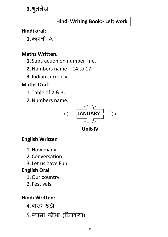

## **Hindi Writing Book:- Left work**

#### **Hindi oral:**

**1.**कहानी A

#### **Maths Written.**

- **1.** Subtraction on number line.
- **2.**Numbers name 14 to 17.
- **3.**Indian currency.

#### **Maths Oral-**

- 1. Table of 2 & 3.
- 2.Numbers name.



**Unit-IV**

## **English Written**

- 1.How many.
- 2. Conversation
- 3. Let us have Fun.

## **English Oral**

- 1.Our country.
- 2. Festivals.

## **Hindi Written:**

- 4.बारह खड़ी
- 5. प्यासा कौआ (चित्रकर्ा)